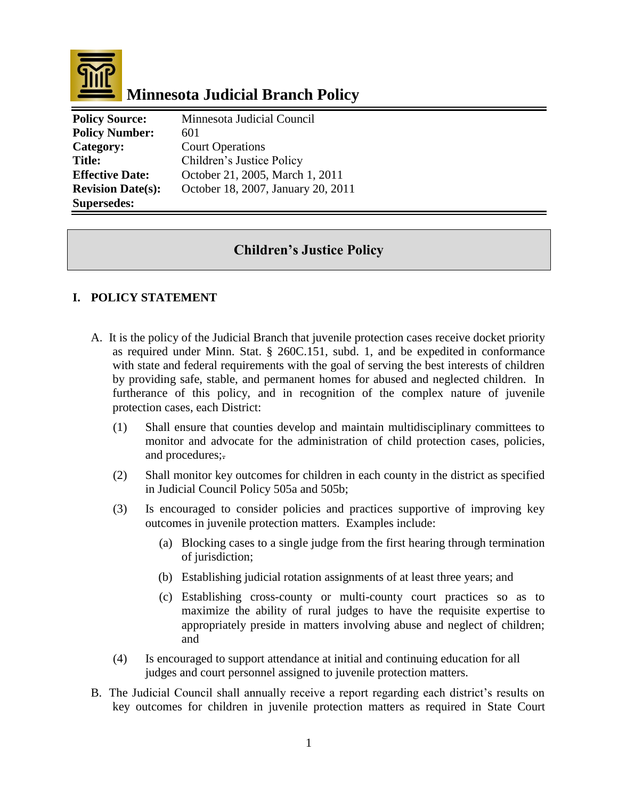

# **Minnesota Judicial Branch Policy**

| <b>Policy Source:</b>    | Minnesota Judicial Council         |
|--------------------------|------------------------------------|
| <b>Policy Number:</b>    | 601                                |
| Category:                | <b>Court Operations</b>            |
| <b>Title:</b>            | Children's Justice Policy          |
| <b>Effective Date:</b>   | October 21, 2005, March 1, 2011    |
| <b>Revision Date(s):</b> | October 18, 2007, January 20, 2011 |
| <b>Supersedes:</b>       |                                    |

## **Children's Justice Policy**

### **I. POLICY STATEMENT**

- A. It is the policy of the Judicial Branch that juvenile protection cases receive docket priority as required under Minn. Stat. § 260C.151, subd. 1, and be expedited in conformance with state and federal requirements with the goal of serving the best interests of children by providing safe, stable, and permanent homes for abused and neglected children. In furtherance of this policy, and in recognition of the complex nature of juvenile protection cases, each District:
	- (1) Shall ensure that counties develop and maintain multidisciplinary committees to monitor and advocate for the administration of child protection cases, policies, and procedures;.
	- (2) Shall monitor key outcomes for children in each county in the district as specified in Judicial Council Policy 505a and 505b;
	- (3) Is encouraged to consider policies and practices supportive of improving key outcomes in juvenile protection matters. Examples include:
		- (a) Blocking cases to a single judge from the first hearing through termination of jurisdiction;
		- (b) Establishing judicial rotation assignments of at least three years; and
		- (c) Establishing cross-county or multi-county court practices so as to maximize the ability of rural judges to have the requisite expertise to appropriately preside in matters involving abuse and neglect of children; and
	- (4) Is encouraged to support attendance at initial and continuing education for all judges and court personnel assigned to juvenile protection matters.
- B. The Judicial Council shall annually receive a report regarding each district's results on key outcomes for children in juvenile protection matters as required in State Court